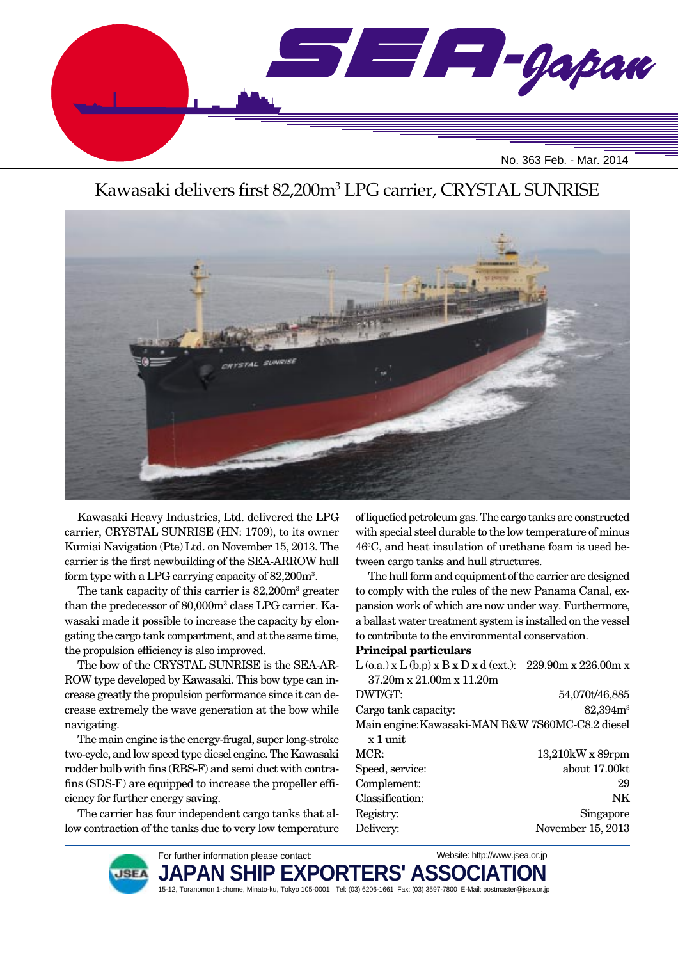

# Kawasaki delivers first 82,200m<sup>3</sup> LPG carrier, CRYSTAL SUNRISE



Kawasaki Heavy Industries, Ltd. delivered the LPG carrier, CRYSTAL SUNRISE (HN: 1709), to its owner Kumiai Navigation (Pte) Ltd. on November 15, 2013. The carrier is the first newbuilding of the SEA-ARROW hull form type with a LPG carrying capacity of 82,200m3 .

The tank capacity of this carrier is 82,200m<sup>3</sup> greater than the predecessor of 80,000m<sup>3</sup> class LPG carrier. Kawasaki made it possible to increase the capacity by elongating the cargo tank compartment, and at the same time, the propulsion efficiency is also improved.

The bow of the CRYSTAL SUNRISE is the SEA-AR-ROW type developed by Kawasaki. This bow type can increase greatly the propulsion performance since it can decrease extremely the wave generation at the bow while navigating.

The main engine is the energy-frugal, super long-stroke two-cycle, and low speed type diesel engine. The Kawasaki rudder bulb with fins (RBS-F) and semi duct with contrafins (SDS-F) are equipped to increase the propeller efficiency for further energy saving.

The carrier has four independent cargo tanks that allow contraction of the tanks due to very low temperature

of liquefied petroleum gas. The cargo tanks are constructed with special steel durable to the low temperature of minus 46°C, and heat insulation of urethane foam is used between cargo tanks and hull structures.

The hull form and equipment of the carrier are designed to comply with the rules of the new Panama Canal, expansion work of which are now under way. Furthermore, a ballast water treatment system is installed on the vessel to contribute to the environmental conservation.

### **Principal particulars**

| $L$ (o.a.) x $L$ (b.p) x $B$ x $D$ x $d$ (ext.): 229.90m x 226.00m x |                      |
|----------------------------------------------------------------------|----------------------|
| $37.20m \times 21.00m \times 11.20m$                                 |                      |
| DWT/GT:                                                              | 54,070t/46,885       |
| Cargo tank capacity:                                                 | 82,394m <sup>3</sup> |
| Main engine: Kawasaki-MAN B&W 7S60MC-C8.2 diesel                     |                      |
| $x 1$ unit                                                           |                      |
| MCR:                                                                 | $13,210$ kW x 89rpm  |
| Speed, service:                                                      | about 17.00kt        |
| Complement:                                                          | 29                   |
| Classification:                                                      | NK                   |
| Registry:                                                            | Singapore            |
| Delivery:                                                            | November 15, 2013    |
|                                                                      |                      |

Website: http://www.jsea.or.jp



JAPAN SHIP EXP 15-12, Toranomon 1-chome, Minato-ku, Tokyo 105-0001 Tel: (03) 6206-1661 Fax: (03) 3597-7800 E-Mail: postmaster@jsea.or.jp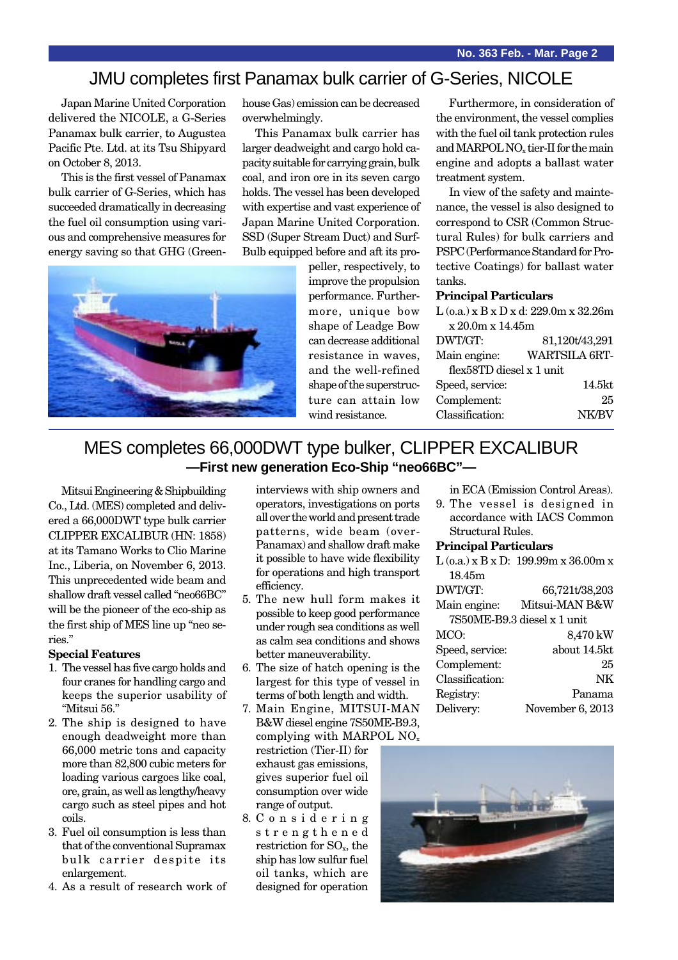### JMU completes first Panamax bulk carrier of G-Series, NICOLE

Japan Marine United Corporation delivered the NICOLE, a G-Series Panamax bulk carrier, to Augustea Pacific Pte. Ltd. at its Tsu Shipyard on October 8, 2013.

This is the first vessel of Panamax bulk carrier of G-Series, which has succeeded dramatically in decreasing the fuel oil consumption using various and comprehensive measures for energy saving so that GHG (Greenhouse Gas) emission can be decreased overwhelmingly.

This Panamax bulk carrier has larger deadweight and cargo hold capacity suitable for carrying grain, bulk coal, and iron ore in its seven cargo holds. The vessel has been developed with expertise and vast experience of Japan Marine United Corporation. SSD (Super Stream Duct) and Surf-Bulb equipped before and aft its pro-



peller, respectively, to improve the propulsion performance. Furthermore, unique bow shape of Leadge Bow can decrease additional resistance in waves, and the well-refined shape of the superstructure can attain low wind resistance.

Furthermore, in consideration of the environment, the vessel complies with the fuel oil tank protection rules and MARPOL NO<sub>x</sub> tier-II for the main engine and adopts a ballast water treatment system.

In view of the safety and maintenance, the vessel is also designed to correspond to CSR (Common Structural Rules) for bulk carriers and PSPC (Performance Standard for Protective Coatings) for ballast water tanks.

#### **Principal Particulars**

| $L$ (o.a.) x B x D x d: 229.0m x 32.26m |  |  |
|-----------------------------------------|--|--|
| x 20.0m x 14.45m                        |  |  |
| 81,120t/43,291                          |  |  |
| WARTSILA 6RT-                           |  |  |
| flex58TD diesel x 1 unit                |  |  |
| 14.5kt                                  |  |  |
| 25                                      |  |  |
| <b>NK/BV</b>                            |  |  |
|                                         |  |  |

### MES completes 66,000DWT type bulker, CLIPPER EXCALIBUR **—First new generation Eco-Ship "neo66BC"—**

Mitsui Engineering & Shipbuilding Co., Ltd. (MES) completed and delivered a 66,000DWT type bulk carrier CLIPPER EXCALIBUR (HN: 1858) at its Tamano Works to Clio Marine Inc., Liberia, on November 6, 2013. This unprecedented wide beam and shallow draft vessel called "neo66BC" will be the pioneer of the eco-ship as the first ship of MES line up "neo series."

#### **Special Features**

- 1. The vessel has five cargo holds and four cranes for handling cargo and keeps the superior usability of "Mitsui 56."
- 2. The ship is designed to have enough deadweight more than 66,000 metric tons and capacity more than 82,800 cubic meters for loading various cargoes like coal, ore, grain, as well as lengthy/heavy cargo such as steel pipes and hot coils.
- 3. Fuel oil consumption is less than that of the conventional Supramax bulk carrier despite its enlargement.
- 4. As a result of research work of

interviews with ship owners and operators, investigations on ports all over the world and present trade patterns, wide beam (over-Panamax) and shallow draft make it possible to have wide flexibility for operations and high transport efficiency.

- 5. The new hull form makes it possible to keep good performance under rough sea conditions as well as calm sea conditions and shows better maneuverability.
- 6. The size of hatch opening is the largest for this type of vessel in terms of both length and width.
- 7. Main Engine, MITSUI-MAN B&W diesel engine 7S50ME-B9.3, complying with MARPOL  $NO<sub>x</sub>$

restriction (Tier-II) for exhaust gas emissions, gives superior fuel oil consumption over wide range of output.

8. C o n s i d e r i n g strengthened restriction for SO<sub>x</sub>, the ship has low sulfur fuel oil tanks, which are designed for operation in ECA (Emission Control Areas).

9. The vessel is designed in accordance with IACS Common Structural Rules.

#### **Principal Particulars**

|                 | $L$ (o.a.) x B x D: 199.99m x 36.00m x |
|-----------------|----------------------------------------|
| 18.45m          |                                        |
| DWT/GT:         | 66,721t/38,203                         |
| Main engine:    | Mitsui-MAN B&W                         |
|                 | 7S50ME-B9.3 diesel x 1 unit            |
| MCO:            | 8,470 kW                               |
| Speed, service: | about 14.5kt                           |
| Complement:     | 25                                     |
| Classification: | NK                                     |
| Registry:       | Panama                                 |
| Delivery:       | November 6, 2013                       |
|                 |                                        |

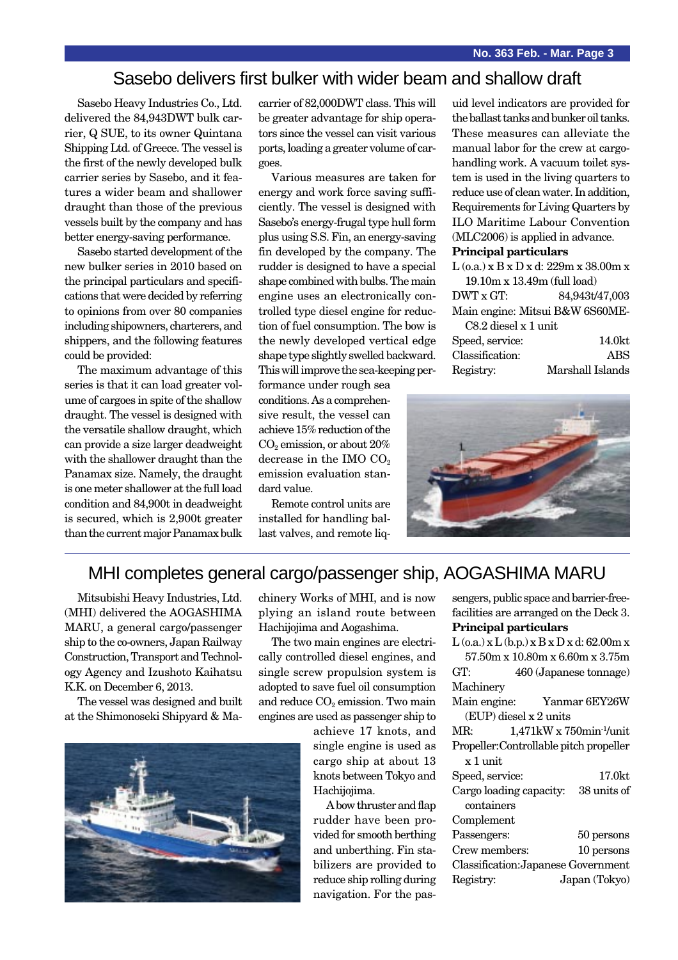### Sasebo delivers first bulker with wider beam and shallow draft

Sasebo Heavy Industries Co., Ltd. delivered the 84,943DWT bulk carrier, Q SUE, to its owner Quintana Shipping Ltd. of Greece. The vessel is the first of the newly developed bulk carrier series by Sasebo, and it features a wider beam and shallower draught than those of the previous vessels built by the company and has better energy-saving performance.

Sasebo started development of the new bulker series in 2010 based on the principal particulars and specifications that were decided by referring to opinions from over 80 companies including shipowners, charterers, and shippers, and the following features could be provided:

The maximum advantage of this series is that it can load greater volume of cargoes in spite of the shallow draught. The vessel is designed with the versatile shallow draught, which can provide a size larger deadweight with the shallower draught than the Panamax size. Namely, the draught is one meter shallower at the full load condition and 84,900t in deadweight is secured, which is 2,900t greater than the current major Panamax bulk

carrier of 82,000DWT class. This will be greater advantage for ship operators since the vessel can visit various ports, loading a greater volume of cargoes.

Various measures are taken for energy and work force saving sufficiently. The vessel is designed with Sasebo's energy-frugal type hull form plus using S.S. Fin, an energy-saving fin developed by the company. The rudder is designed to have a special shape combined with bulbs. The main engine uses an electronically controlled type diesel engine for reduction of fuel consumption. The bow is the newly developed vertical edge shape type slightly swelled backward. This will improve the sea-keeping per-

formance under rough sea conditions. As a comprehensive result, the vessel can achieve 15% reduction of the CO<sub>2</sub> emission, or about 20% decrease in the IMO  $CO<sub>2</sub>$ emission evaluation standard value.

Remote control units are installed for handling ballast valves, and remote liquid level indicators are provided for the ballast tanks and bunker oil tanks. These measures can alleviate the manual labor for the crew at cargohandling work. A vacuum toilet system is used in the living quarters to reduce use of clean water. In addition, Requirements for Living Quarters by ILO Maritime Labour Convention (MLC2006) is applied in advance. **Principal particulars**

| $L$ (o.a.) x B x D x d: 229m x 38.00m x |                  |  |
|-----------------------------------------|------------------|--|
| 19.10m x 13.49m (full load)             |                  |  |
| DWT x GT:                               | 84,943t/47,003   |  |
| Main engine: Mitsui B&W 6S60ME-         |                  |  |
| C8.2 diesel x 1 unit                    |                  |  |
| Speed, service:                         | 14.0kt           |  |
| Classification:                         | ABS              |  |
| Registry:                               | Marshall Islands |  |



## MHI completes general cargo/passenger ship, AOGASHIMA MARU

Mitsubishi Heavy Industries, Ltd. (MHI) delivered the AOGASHIMA MARU, a general cargo/passenger ship to the co-owners, Japan Railway Construction, Transport and Technology Agency and Izushoto Kaihatsu K.K. on December 6, 2013.

The vessel was designed and built at the Shimonoseki Shipyard & Ma-



chinery Works of MHI, and is now plying an island route between Hachijojima and Aogashima.

The two main engines are electrically controlled diesel engines, and single screw propulsion system is adopted to save fuel oil consumption and reduce  $CO<sub>2</sub>$  emission. Two main engines are used as passenger ship to

> achieve 17 knots, and single engine is used as cargo ship at about 13 knots between Tokyo and Hachijojima.

A bow thruster and flap rudder have been provided for smooth berthing and unberthing. Fin stabilizers are provided to reduce ship rolling during navigation. For the pas-

|                              | sengers, public space and barrier-free-           |
|------------------------------|---------------------------------------------------|
|                              | facilities are arranged on the Deck 3.            |
| <b>Principal particulars</b> |                                                   |
|                              | $L$ (o.a.) x $L$ (b.p.) x $B$ x $D$ x d: 62.00m x |
|                              | 57.50m x 10.80m x 6.60m x 3.75m                   |
| GT:                          | 460 (Japanese tonnage)                            |
| Machinery                    |                                                   |
|                              | Main engine: Yanmar 6EY26W                        |
| (EUP) diesel x 2 units       |                                                   |
| MR:                          | $1,471$ kW x $750$ min <sup>-1</sup> /unit        |
|                              | Propeller: Controllable pitch propeller           |
| x 1 unit                     |                                                   |
| Speed, service:              | 17.0kt                                            |
|                              | Cargo loading capacity: 38 units of               |
| containers                   |                                                   |
| Complement                   |                                                   |
| Passengers:                  | 50 persons                                        |
| Crew members:                | 10 persons                                        |
|                              | Classification: Japanese Government               |
| Registry:                    | Japan (Tokyo)                                     |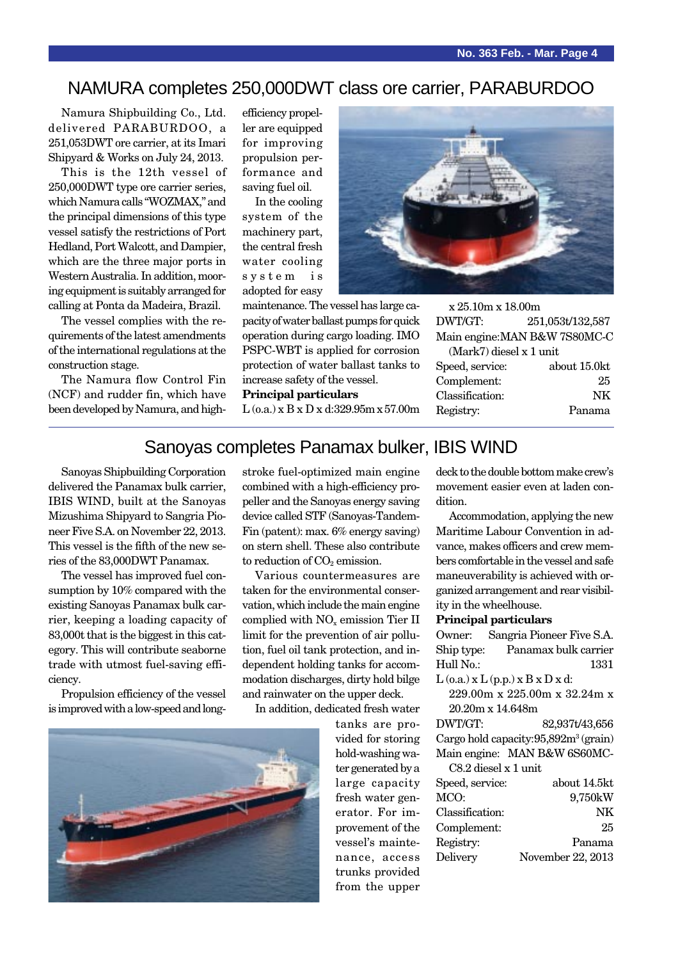### NAMURA completes 250,000DWT class ore carrier, PARABURDOO

Namura Shipbuilding Co., Ltd. delivered PARABURDOO, a 251,053DWT ore carrier, at its Imari Shipyard & Works on July 24, 2013.

This is the 12th vessel of 250,000DWT type ore carrier series, which Namura calls "WOZMAX," and the principal dimensions of this type vessel satisfy the restrictions of Port Hedland, Port Walcott, and Dampier, which are the three major ports in Western Australia. In addition, mooring equipment is suitably arranged for calling at Ponta da Madeira, Brazil.

The vessel complies with the requirements of the latest amendments of the international regulations at the construction stage.

The Namura flow Control Fin (NCF) and rudder fin, which have been developed by Namura, and highefficiency propeller are equipped for improving propulsion performance and saving fuel oil.

In the cooling system of the machinery part, the central fresh water cooling system is adopted for easy



**Principal particulars**

L (o.a.) x B x D x d:329.95m x 57.00m



x 25.10m x 18.00m DWT/GT: 251,053t/132,587 Main engine:MAN B&W 7S80MC-C

| $(Mark7)$ diesel x 1 unit |              |
|---------------------------|--------------|
| Speed, service:           | about 15.0kt |
| Complement:               | 25           |
| Classification:           | NK           |
| Registry:                 | Panama       |
|                           |              |

## Sanoyas completes Panamax bulker, IBIS WIND

Sanoyas Shipbuilding Corporation delivered the Panamax bulk carrier, IBIS WIND, built at the Sanoyas Mizushima Shipyard to Sangria Pioneer Five S.A. on November 22, 2013. This vessel is the fifth of the new series of the 83,000DWT Panamax.

The vessel has improved fuel consumption by 10% compared with the existing Sanoyas Panamax bulk carrier, keeping a loading capacity of 83,000t that is the biggest in this category. This will contribute seaborne trade with utmost fuel-saving efficiency.

Propulsion efficiency of the vessel is improved with a low-speed and long-



stroke fuel-optimized main engine combined with a high-efficiency propeller and the Sanoyas energy saving device called STF (Sanoyas-Tandem-Fin (patent): max. 6% energy saving) on stern shell. These also contribute to reduction of  $CO<sub>2</sub>$  emission.

Various countermeasures are taken for the environmental conservation, which include the main engine complied with NO<sub>y</sub> emission Tier II limit for the prevention of air pollution, fuel oil tank protection, and independent holding tanks for accommodation discharges, dirty hold bilge and rainwater on the upper deck.

In addition, dedicated fresh water

tanks are provided for storing hold-washing water generated by a large capacity fresh water generator. For improvement of the vessel's maintenance, access trunks provided from the upper

deck to the double bottom make crew's movement easier even at laden condition.

Accommodation, applying the new Maritime Labour Convention in advance, makes officers and crew members comfortable in the vessel and safe maneuverability is achieved with organized arrangement and rear visibility in the wheelhouse.

#### **Principal particulars**

Owner: Sangria Pioneer Five S.A. Ship type: Panamax bulk carrier Hull No.: 1331

 $L$  (o.a.)  $x L$  (p.p.)  $x B x D x d$ :

229.00m x 225.00m x 32.24m x 20.20m x 14.648m

DWT/GT: 82,937t/43,656 Cargo hold capacity: 95,892m<sup>3</sup> (grain) Main engine: MAN B&W 6S60MC-

C8.2 diesel x 1 unit Speed, service: about 14.5kt MCO: 9,750kW Classification: NK Complement: 25 Registry: Panama Delivery November 22, 2013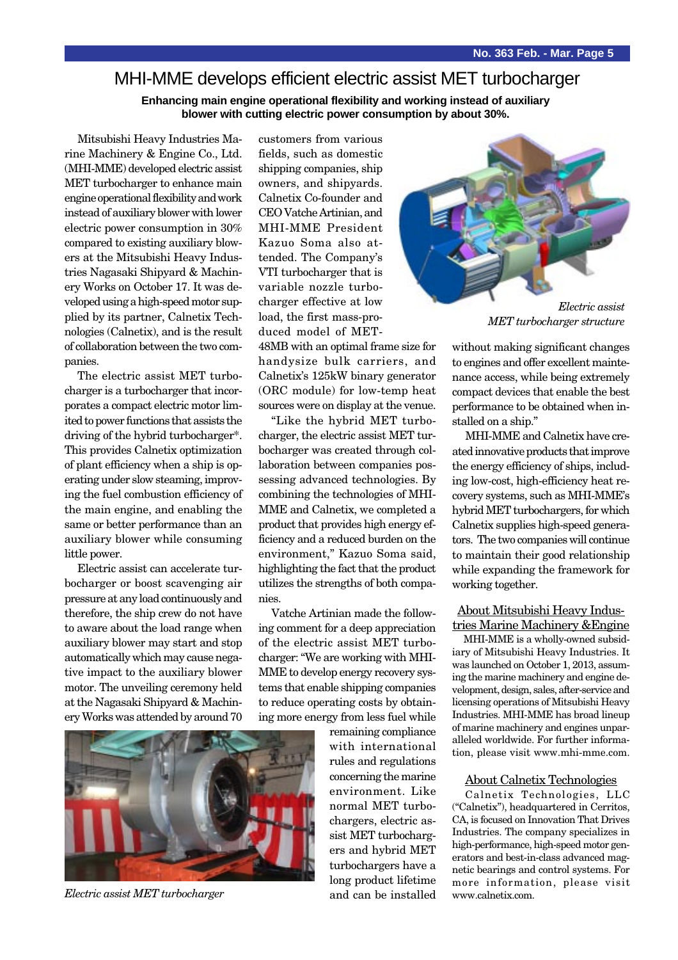### MHI-MME develops efficient electric assist MET turbocharger

**Enhancing main engine operational flexibility and working instead of auxiliary blower with cutting electric power consumption by about 30%.**

Mitsubishi Heavy Industries Marine Machinery & Engine Co., Ltd. (MHI-MME) developed electric assist MET turbocharger to enhance main engine operational flexibility and work instead of auxiliary blower with lower electric power consumption in 30% compared to existing auxiliary blowers at the Mitsubishi Heavy Industries Nagasaki Shipyard & Machinery Works on October 17. It was developed using a high-speed motor supplied by its partner, Calnetix Technologies (Calnetix), and is the result of collaboration between the two companies.

The electric assist MET turbocharger is a turbocharger that incorporates a compact electric motor limited to power functions that assists the driving of the hybrid turbocharger\*. This provides Calnetix optimization of plant efficiency when a ship is operating under slow steaming, improving the fuel combustion efficiency of the main engine, and enabling the same or better performance than an auxiliary blower while consuming little power.

Electric assist can accelerate turbocharger or boost scavenging air pressure at any load continuously and therefore, the ship crew do not have to aware about the load range when auxiliary blower may start and stop automatically which may cause negative impact to the auxiliary blower motor. The unveiling ceremony held at the Nagasaki Shipyard & Machinery Works was attended by around 70

customers from various fields, such as domestic shipping companies, ship owners, and shipyards. Calnetix Co-founder and CEO Vatche Artinian, and MHI-MME President Kazuo Soma also attended. The Company's VTI turbocharger that is variable nozzle turbocharger effective at low load, the first mass-produced model of MET-

48MB with an optimal frame size for handysize bulk carriers, and Calnetix's 125kW binary generator (ORC module) for low-temp heat sources were on display at the venue.

"Like the hybrid MET turbocharger, the electric assist MET turbocharger was created through collaboration between companies possessing advanced technologies. By combining the technologies of MHI-MME and Calnetix, we completed a product that provides high energy efficiency and a reduced burden on the environment," Kazuo Soma said, highlighting the fact that the product utilizes the strengths of both companies.

Vatche Artinian made the following comment for a deep appreciation of the electric assist MET turbocharger: "We are working with MHI-MME to develop energy recovery systems that enable shipping companies to reduce operating costs by obtaining more energy from less fuel while

> remaining compliance with international rules and regulations concerning the marine environment. Like normal MET turbochargers, electric assist MET turbochargers and hybrid MET turbochargers have a long product lifetime and can be installed



*MET turbocharger structure*

without making significant changes to engines and offer excellent maintenance access, while being extremely compact devices that enable the best performance to be obtained when installed on a ship."

MHI-MME and Calnetix have created innovative products that improve the energy efficiency of ships, including low-cost, high-efficiency heat recovery systems, such as MHI-MME's hybrid MET turbochargers, for which Calnetix supplies high-speed generators. The two companies will continue to maintain their good relationship while expanding the framework for working together.

#### About Mitsubishi Heavy Industries Marine Machinery &Engine

MHI-MME is a wholly-owned subsidiary of Mitsubishi Heavy Industries. It was launched on October 1, 2013, assuming the marine machinery and engine development, design, sales, after-service and licensing operations of Mitsubishi Heavy Industries. MHI-MME has broad lineup of marine machinery and engines unparalleled worldwide. For further information, please visit www.mhi-mme.com.

#### About Calnetix Technologies

Calnetix Technologies, LLC ("Calnetix"), headquartered in Cerritos, CA, is focused on Innovation That Drives Industries. The company specializes in high-performance, high-speed motor generators and best-in-class advanced magnetic bearings and control systems. For more information, please visit www.calnetix.com.



*Electric assist MET turbocharger*